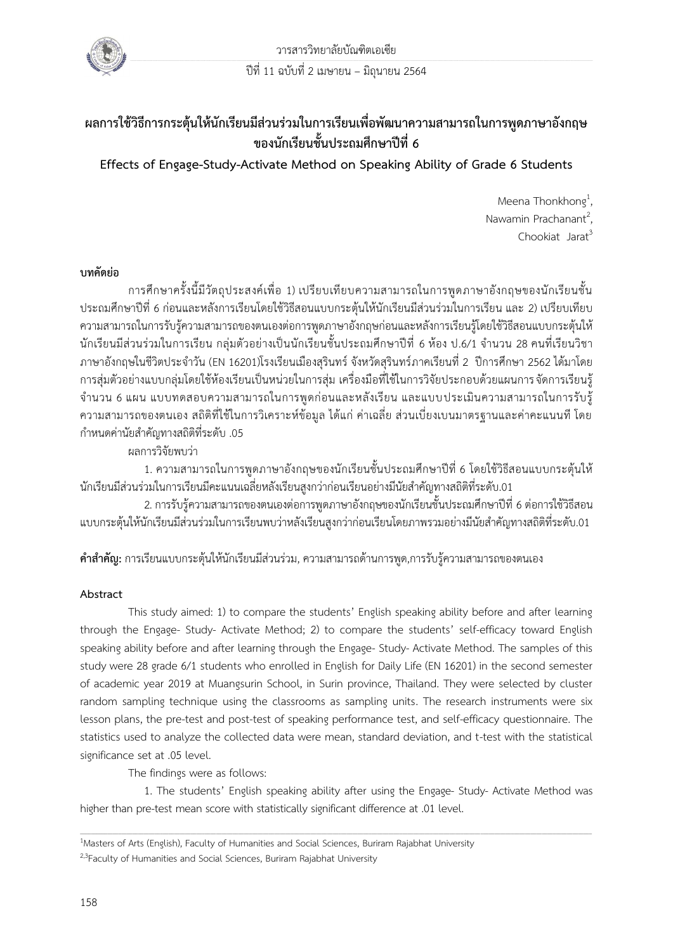

# **ผลการใช้วิธีการกระตุ้นให้นักเรียนมีส่วนร่วมในการเรียนเพื่อพัฒนาความสามารถในการพูดภาษาอังกฤษ ของนักเรียนชั้นประถมศึกษาปีที่ 6**

**Effects of Engage-Study-Activate Method on Speaking Ability of Grade 6 Students**

Meena Thonkhong<sup>1</sup>, , Nawamin Prachanant<sup>2</sup>, .<br>;<br>; Chookiat Jarat<sup>3</sup>

# **บทคัดย่อ**

 การศึกษาครั้งนี้มีวัตถุประสงค์เพื่อ 1) เปรียบเทียบความสามารถในการพูดภาษาอังกฤษของนักเรียนชั้น ประถมศึกษาปีที่ 6 ก่อนและหลังการเรียนโดยใช้วิธีสอนแบบกระตุ้นให้นักเรียนมีส่วนร่วมในการเรียน และ 2) เปรียบเทียบ ความสามารถในการรับรู้ความสามารถของตนเองต่อการพูดภาษาอังกฤษก่อนและหลังการเรียนรู้โดยใช้วิธีสอนแบบกระตุ้นให้ นักเรียนมีส่วนร่วมในการเรียน กลุ่มตัวอย่างเป็นนักเรียนชั้นประถมศึกษาปีที่ 6 ห้อง ป.6/1 จำนวน 28 คนที่เรียนวิชา ภาษาอังกฤษในชีวิตประจ าวัน (EN 16201)โรงเรียนเมืองสุรินทร์ จังหวัดสุรินทร์ภาคเรียนที่ 2 ปีการศึกษา 2562 ได้มาโดย การสุ่มตัวอย่างแบบกลุ่มโดยใช้ห้องเรียนเป็นหน่วยในการสุ่ม เครื่องมือที่ใช้ในการวิจัยประกอบด้วยแผนการจัดการเรียนรู้ จ านวน 6 แผน แบบทดสอบความสามารถในการพูดก่อนและหลังเรียน และแบบประเมินความสามารถในการรับรู้ ความสามารถของตนเอง สถิติที่ใช้ในการวิเคราะห์ข้อมูล ได้แก่ ค่าเฉลี่ย ส่วนเบี่ยงเบนมาตรฐานและค่าคะแนนที โดย ก าหนดค่านัยส าคัญทางสถิติที่ระดับ .05

ผลการวิจัยพบว่า

1. ความสามารถในการพูดภาษาอังกฤษของนักเรียนชั้นประถมศึกษาปีที่ 6 โดยใช้วิธีสอนแบบกระตุ้นให้ ้นักเรียนมีส่วนร่วมในการเรียนมีคะแนนเฉลี่ยหลังเรียนสูงกว่าก่อนเรียนอย่างมีนัยสำคัญทางสถิติที่ระดับ.01

2.การรับรู้ความสามารถของตนเองต่อการพูดภาษาอังกฤษของนักเรียนชั้นประถมศึกษาปีที่ 6ต่อการใช้วิธีสอน แบบกระตุ้นให้นักเรียนมีส่วนร่วมในการเรียนพบว่าหลังเรียนสูงกว่าก่อนเรียนโดยภาพรวมอย่างมีนัยสำคัญทางสถิติที่ระดับ.01

**ค าส าคัญ:** การเรียนแบบกระตุ้นให้นักเรียนมีส่วนร่วม, ความสามารถด้านการพูด,การรับรู้ความสามารถของตนเอง

# **Abstract**

This study aimed: 1) to compare the students' English speaking ability before and after learning through the Engage- Study- Activate Method; 2) to compare the students' self-efficacy toward English speaking ability before and after learning through the Engage- Study- Activate Method. The samples of this study were 28 grade 6/1 students who enrolled in English for Daily Life (EN 16201) in the second semester of academic year 2019 at Muangsurin School, in Surin province, Thailand. They were selected by cluster random sampling technique using the classrooms as sampling units. The research instruments were six lesson plans, the pre-test and post-test of speaking performance test, and self-efficacy questionnaire. The statistics used to analyze the collected data were mean, standard deviation, and t-test with the statistical significance set at .05 level.

The findings were as follows:

1. The students' English speaking ability after using the Engage- Study- Activate Method was higher than pre-test mean score with statistically significant difference at .01 level.

 $\_$  ,  $\_$  ,  $\_$  ,  $\_$  ,  $\_$  ,  $\_$  ,  $\_$  ,  $\_$  ,  $\_$  ,  $\_$  ,  $\_$  ,  $\_$  ,  $\_$  ,  $\_$  ,  $\_$  ,  $\_$  ,  $\_$  ,  $\_$  ,  $\_$  ,  $\_$  ,  $\_$  ,  $\_$  ,  $\_$  ,  $\_$  ,  $\_$  ,  $\_$  ,  $\_$  ,  $\_$  ,  $\_$  ,  $\_$  ,  $\_$  ,  $\_$  ,  $\_$  ,  $\_$  ,  $\_$  ,  $\_$  ,  $\_$  ,

<sup>1</sup>Masters of Arts (English), Faculty of Humanities and Social Sciences, Buriram Rajabhat University

<sup>2,3</sup>Faculty of Humanities and Social Sciences, Buriram Rajabhat University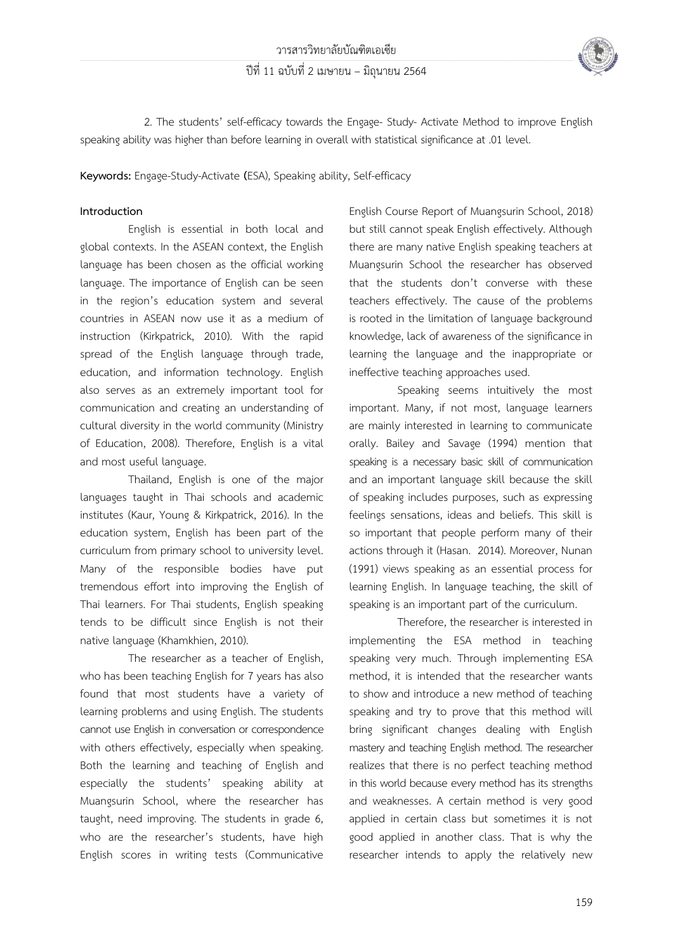

2. The students' self-efficacy towards the Engage- Study- Activate Method to improve English speaking ability was higher than before learning in overall with statistical significance at .01 level.

**Keywords:** Engage-Study-Activate **(**ESA), Speaking ability, Self-efficacy

# **Introduction**

 English is essential in both local and global contexts. In the ASEAN context, the English language has been chosen as the official working language. The importance of English can be seen in the region's education system and several countries in ASEAN now use it as a medium of instruction (Kirkpatrick, 2010). With the rapid spread of the English language through trade, education, and information technology. English also serves as an extremely important tool for communication and creating an understanding of cultural diversity in the world community (Ministry of Education, 2008). Therefore, English is a vital and most useful language.

 Thailand, English is one of the major languages taught in Thai schools and academic institutes (Kaur, Young & Kirkpatrick, 2016). In the education system, English has been part of the curriculum from primary school to university level. Many of the responsible bodies have put tremendous effort into improving the English of Thai learners. For Thai students, English speaking tends to be difficult since English is not their native language (Khamkhien, 2010).

 The researcher as a teacher of English, who has been teaching English for 7 years has also found that most students have a variety of learning problems and using English. The students cannot use English in conversation or correspondence with others effectively, especially when speaking. Both the learning and teaching of English and especially the students' speaking ability at Muangsurin School, where the researcher has taught, need improving. The students in grade 6, who are the researcher's students, have high English scores in writing tests (Communicative

English Course Report of Muangsurin School, 2018) but still cannot speak English effectively. Although there are many native English speaking teachers at Muangsurin School the researcher has observed that the students don't converse with these teachers effectively. The cause of the problems is rooted in the limitation of language background knowledge, lack of awareness of the significance in learning the language and the inappropriate or ineffective teaching approaches used.

 Speaking seems intuitively the most important. Many, if not most, language learners are mainly interested in learning to communicate orally. Bailey and Savage (1994) mention that speaking is a necessary basic skill of communication and an important language skill because the skill of speaking includes purposes, such as expressing feelings sensations, ideas and beliefs. This skill is so important that people perform many of their actions through it (Hasan. 2014). Moreover, Nunan (1991) views speaking as an essential process for learning English. In language teaching, the skill of speaking is an important part of the curriculum.

 Therefore, the researcher is interested in implementing the ESA method in teaching speaking very much. Through implementing ESA method, it is intended that the researcher wants to show and introduce a new method of teaching speaking and try to prove that this method will bring significant changes dealing with English mastery and teaching English method. The researcher realizes that there is no perfect teaching method in this world because every method has its strengths and weaknesses. A certain method is very good applied in certain class but sometimes it is not good applied in another class. That is why the researcher intends to apply the relatively new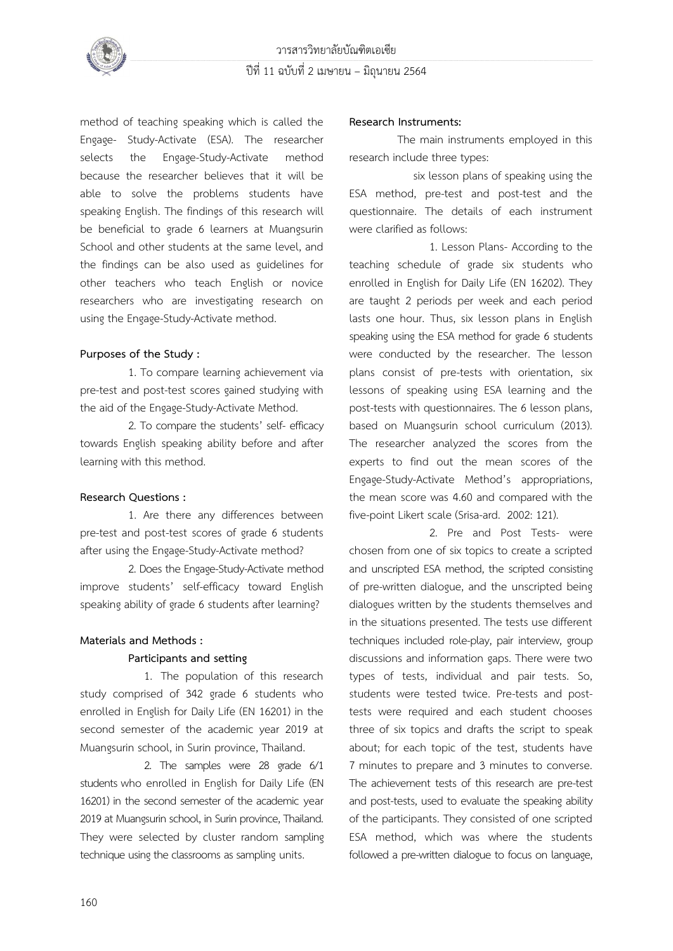

method of teaching speaking which is called the Engage- Study-Activate (ESA). The researcher selects the Engage-Study-Activate method because the researcher believes that it will be able to solve the problems students have speaking English. The findings of this research will be beneficial to grade 6 learners at Muangsurin School and other students at the same level, and the findings can be also used as guidelines for other teachers who teach English or novice researchers who are investigating research on using the Engage-Study-Activate method.

### **Purposes of the Study :**

1. To compare learning achievement via pre-test and post-test scores gained studying with the aid of the Engage-Study-Activate Method.

 2. To compare the students' self- efficacy towards English speaking ability before and after learning with this method.

#### **Research Questions :**

1. Are there any differences between pre-test and post-test scores of grade 6 students after using the Engage-Study-Activate method?

2. Does the Engage-Study-Activate method improve students' self-efficacy toward English speaking ability of grade 6 students after learning?

# **Materials and Methods :**

#### **Participants and setting**

1. The population of this research study comprised of 342 grade 6 students who enrolled in English for Daily Life (EN 16201) in the second semester of the academic year 2019 at Muangsurin school, in Surin province, Thailand.

 2. The samples were 28 grade 6/1 students who enrolled in English for Daily Life (EN 16201) in the second semester of the academic year 2019 at Muangsurin school, in Surin province, Thailand. They were selected by cluster random sampling technique using the classrooms as sampling units.

#### **Research Instruments:**

The main instruments employed in this research include three types:

six lesson plans of speaking using the ESA method, pre-test and post-test and the questionnaire. The details of each instrument were clarified as follows:

1. Lesson Plans- According to the teaching schedule of grade six students who enrolled in English for Daily Life (EN 16202). They are taught 2 periods per week and each period lasts one hour. Thus, six lesson plans in English speaking using the ESA method for grade 6 students were conducted by the researcher. The lesson plans consist of pre-tests with orientation, six lessons of speaking using ESA learning and the post-tests with questionnaires. The 6 lesson plans, based on Muangsurin school curriculum (2013). The researcher analyzed the scores from the experts to find out the mean scores of the Engage-Study-Activate Method's appropriations, the mean score was 4.60 and compared with the five-point Likert scale (Srisa-ard. 2002: 121).

 2. Pre and Post Tests- were chosen from one of six topics to create a scripted and unscripted ESA method, the scripted consisting of pre-written dialogue, and the unscripted being dialogues written by the students themselves and in the situations presented. The tests use different techniques included role-play, pair interview, group discussions and information gaps. There were two types of tests, individual and pair tests. So, students were tested twice. Pre-tests and posttests were required and each student chooses three of six topics and drafts the script to speak about; for each topic of the test, students have 7 minutes to prepare and 3 minutes to converse. The achievement tests of this research are pre-test and post-tests, used to evaluate the speaking ability of the participants. They consisted of one scripted ESA method, which was where the students followed a pre-written dialogue to focus on language,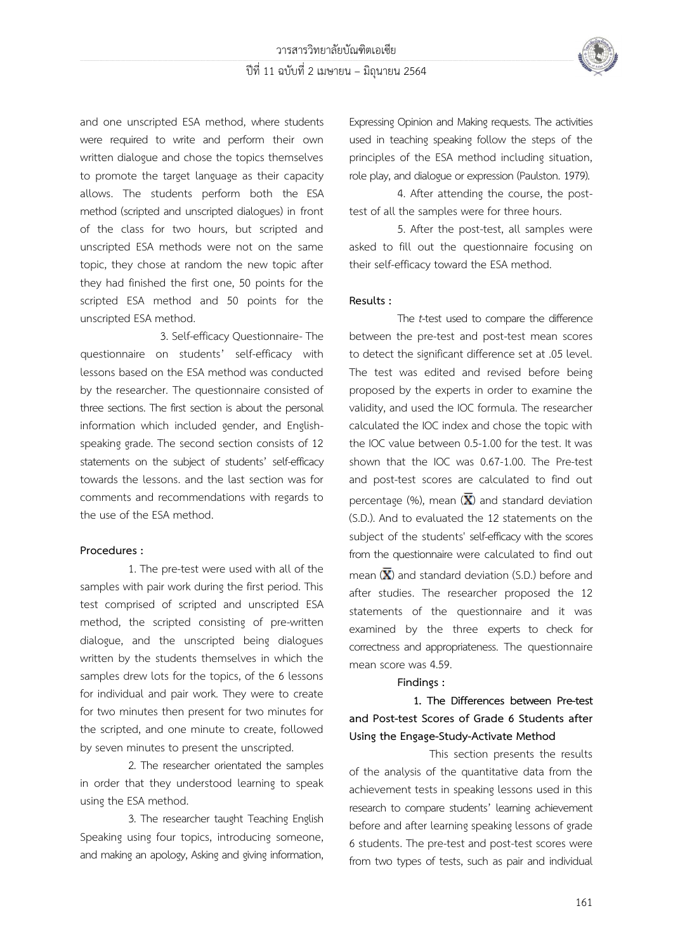

and one unscripted ESA method, where students were required to write and perform their own written dialogue and chose the topics themselves to promote the target language as their capacity allows. The students perform both the ESA method (scripted and unscripted dialogues) in front of the class for two hours, but scripted and unscripted ESA methods were not on the same topic, they chose at random the new topic after they had finished the first one, 50 points for the scripted ESA method and 50 points for the unscripted ESA method.

 3. Self-efficacy Questionnaire- The questionnaire on students' self-efficacy with lessons based on the ESA method was conducted by the researcher. The questionnaire consisted of three sections. The first section is about the personal information which included gender, and Englishspeaking grade. The second section consists of 12 statements on the subject of students' self-efficacy towards the lessons. and the last section was for comments and recommendations with regards to the use of the ESA method.

### **Procedures :**

1. The pre-test were used with all of the samples with pair work during the first period. This test comprised of scripted and unscripted ESA method, the scripted consisting of pre-written dialogue, and the unscripted being dialogues written by the students themselves in which the samples drew lots for the topics, of the 6 lessons for individual and pair work. They were to create for two minutes then present for two minutes for the scripted, and one minute to create, followed by seven minutes to present the unscripted.

 2. The researcher orientated the samples in order that they understood learning to speak using the ESA method.

3. The researcher taught Teaching English Speaking using four topics, introducing someone, and making an apology, Asking and giving information,

Expressing Opinion and Making requests. The activities used in teaching speaking follow the steps of the principles of the ESA method including situation, role play, and dialogue or expression (Paulston. 1979).

4. After attending the course, the posttest of all the samples were for three hours.

5. After the post-test, all samples were asked to fill out the questionnaire focusing on their self-efficacy toward the ESA method.

# **Results :**

The *t*-test used to compare the difference between the pre-test and post-test mean scores to detect the significant difference set at .05 level. The test was edited and revised before being proposed by the experts in order to examine the validity, and used the IOC formula. The researcher calculated the IOC index and chose the topic with the IOC value between 0.5-1.00 for the test. It was shown that the IOC was 0.67-1.00. The Pre-test and post-test scores are calculated to find out percentage (%), mean  $(\overline{\mathbf{X}})$  and standard deviation (S.D.). And to evaluated the 12 statements on the subject of the students' self-efficacy with the scores from the questionnaire were calculated to find out mean  $(\overline{\mathbf{X}})$  and standard deviation (S.D.) before and after studies. The researcher proposed the 12 statements of the questionnaire and it was examined by the three experts to check for correctness and appropriateness. The questionnaire mean score was 4.59.

#### **Findings :**

# **1. The Differences between Pre-test and Post-test Scores of Grade 6 Students after Using the Engage-Study-Activate Method**

 This section presents the results of the analysis of the quantitative data from the achievement tests in speaking lessons used in this research to compare students' learning achievement before and after learning speaking lessons of grade 6 students. The pre-test and post-test scores were from two types of tests, such as pair and individual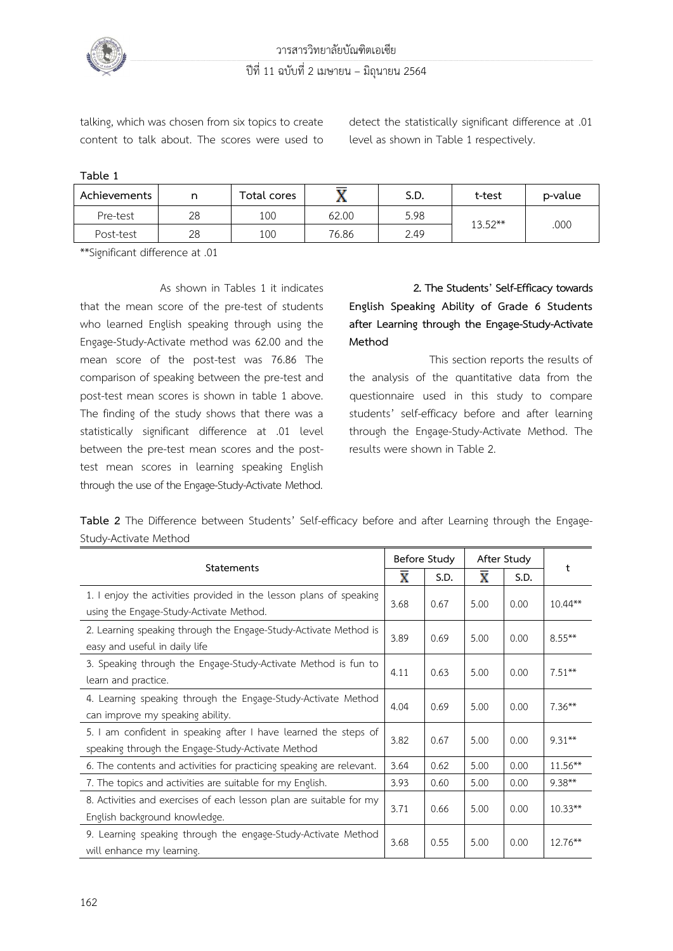

talking, which was chosen from six topics to create content to talk about. The scores were used to detect the statistically significant difference at .01 level as shown in Table 1 respectively.

**Table 1**

| Achievements |    | Total cores |       | S.D. | t-test    | p-value |  |
|--------------|----|-------------|-------|------|-----------|---------|--|
| Pre-test     | 28 | 100         | 62.00 | 5.98 |           | .000    |  |
| Post-test    | 28 | 100         | 76.86 | 2.49 | $13.52**$ |         |  |

\*\*Significant difference at .01

 As shown in Tables 1 it indicates that the mean score of the pre-test of students who learned English speaking through using the Engage-Study-Activate method was 62.00 and the mean score of the post-test was 76.86 The comparison of speaking between the pre-test and post-test mean scores is shown in table 1 above. The finding of the study shows that there was a statistically significant difference at .01 level between the pre-test mean scores and the posttest mean scores in learning speaking English through the use of the Engage-Study-Activate Method.

**2. The Students' Self-Efficacy towards English Speaking Ability of Grade 6 Students after Learning through the Engage-Study-Activate Method**

This section reports the results of the analysis of the quantitative data from the questionnaire used in this study to compare students' self-efficacy before and after learning through the Engage-Study-Activate Method. The results were shown in Table 2.

|  |                       |  | Table 2 The Difference between Students' Self-efficacy before and after Learning through the Engage- |  |  |  |  |
|--|-----------------------|--|------------------------------------------------------------------------------------------------------|--|--|--|--|
|  | Study-Activate Method |  |                                                                                                      |  |  |  |  |

|                                                                                                                      |                         | Before Study | After Study             |      |           |  |
|----------------------------------------------------------------------------------------------------------------------|-------------------------|--------------|-------------------------|------|-----------|--|
| Statements                                                                                                           | $\overline{\textbf{x}}$ | S.D.         | $\overline{\textbf{x}}$ | S.D. | t         |  |
| 1. I enjoy the activities provided in the lesson plans of speaking<br>using the Engage-Study-Activate Method.        | 3.68                    | 0.67         | 5.00                    | 0.00 | $10.44**$ |  |
| 2. Learning speaking through the Engage-Study-Activate Method is<br>easy and useful in daily life                    | 3.89                    | 0.69         | 5.00                    | 0.00 | $8.55***$ |  |
| 3. Speaking through the Engage-Study-Activate Method is fun to<br>learn and practice.                                | 4.11                    | 0.63         | 5.00                    | 0.00 | $7.51***$ |  |
| 4. Learning speaking through the Engage-Study-Activate Method<br>can improve my speaking ability.                    | 4.04                    | 0.69         | 5.00                    | 0.00 | $7.36***$ |  |
| 5. I am confident in speaking after I have learned the steps of<br>speaking through the Engage-Study-Activate Method | 3.82                    | 0.67         | 5.00                    | 0.00 | $9.31***$ |  |
| 6. The contents and activities for practicing speaking are relevant.                                                 | 3.64                    | 0.62         | 5.00                    | 0.00 | $11.56**$ |  |
| 7. The topics and activities are suitable for my English.                                                            | 3.93                    | 0.60         | 5.00                    | 0.00 | $9.38***$ |  |
| 8. Activities and exercises of each lesson plan are suitable for my<br>English background knowledge.                 | 3.71                    | 0.66         | 5.00                    | 0.00 | $10.33**$ |  |
| 9. Learning speaking through the engage-Study-Activate Method<br>will enhance my learning.                           | 3.68                    | 0.55         | 5.00                    | 0.00 | $12.76**$ |  |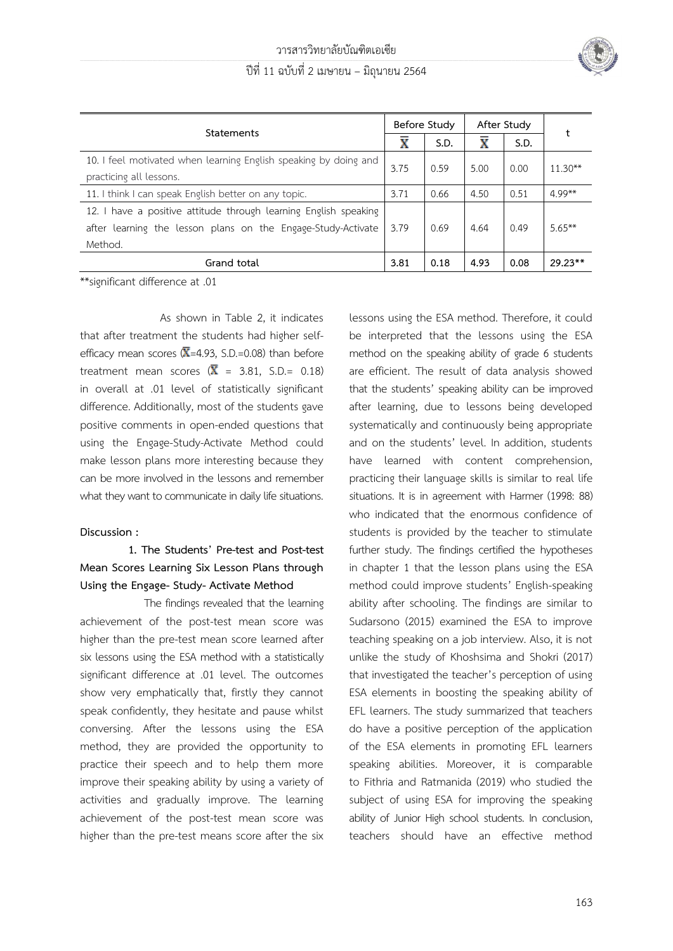# วารสารวิทยาลัยบัณฑิตเอเซีย ปีที่ 11 ฉบับที่ 2 เมษายน – มิถุนายน 2564



| <b>Statements</b>                                                                                                                           | Before Study |      | After Study |      |           |  |
|---------------------------------------------------------------------------------------------------------------------------------------------|--------------|------|-------------|------|-----------|--|
|                                                                                                                                             |              | S.D. | X           | S.D. |           |  |
| 10. I feel motivated when learning English speaking by doing and<br>practicing all lessons.                                                 | 3.75         | 0.59 | 5.00        | 0.00 | $11.30**$ |  |
| 11. I think I can speak English better on any topic.                                                                                        | 3.71         | 0.66 | 4.50        | 0.51 | $4.99***$ |  |
| 12. I have a positive attitude through learning English speaking<br>after learning the lesson plans on the Engage-Study-Activate<br>Method. | 3.79         | 0.69 | 4.64        | 0.49 | $5.65***$ |  |
| Grand total                                                                                                                                 | 3.81         | 0.18 | 4.93        | 0.08 | 29.23**   |  |

\*\*significant difference at .01

 As shown in Table 2, it indicates that after treatment the students had higher selfefficacy mean scores  $(\overline{X} = 4.93, S.D.=0.08)$  than before treatment mean scores  $(\overline{X} = 3.81, S.D.= 0.18)$ in overall at .01 level of statistically significant difference. Additionally, most of the students gave positive comments in open-ended questions that using the Engage-Study-Activate Method could make lesson plans more interesting because they can be more involved in the lessons and remember what they want to communicate in daily life situations.

# **Discussion :**

# **1. The Students' Pre-test and Post-test Mean Scores Learning Six Lesson Plans through Using the Engage- Study- Activate Method**

The findings revealed that the learning achievement of the post-test mean score was higher than the pre-test mean score learned after six lessons using the ESA method with a statistically significant difference at .01 level. The outcomes show very emphatically that, firstly they cannot speak confidently, they hesitate and pause whilst conversing. After the lessons using the ESA method, they are provided the opportunity to practice their speech and to help them more improve their speaking ability by using a variety of activities and gradually improve. The learning achievement of the post-test mean score was higher than the pre-test means score after the six

lessons using the ESA method. Therefore, it could be interpreted that the lessons using the ESA method on the speaking ability of grade 6 students are efficient. The result of data analysis showed that the students' speaking ability can be improved after learning, due to lessons being developed systematically and continuously being appropriate and on the students' level. In addition, students have learned with content comprehension, practicing their language skills is similar to real life situations. It is in agreement with Harmer (1998: 88) who indicated that the enormous confidence of students is provided by the teacher to stimulate further study. The findings certified the hypotheses in chapter 1 that the lesson plans using the ESA method could improve students' English-speaking ability after schooling. The findings are similar to Sudarsono (2015) examined the ESA to improve teaching speaking on a job interview. Also, it is not unlike the study of Khoshsima and Shokri (2017) that investigated the teacher's perception of using ESA elements in boosting the speaking ability of EFL learners. The study summarized that teachers do have a positive perception of the application of the ESA elements in promoting EFL learners speaking abilities. Moreover, it is comparable to Fithria and Ratmanida (2019) who studied the subject of using ESA for improving the speaking ability of Junior High school students. In conclusion, teachers should have an effective method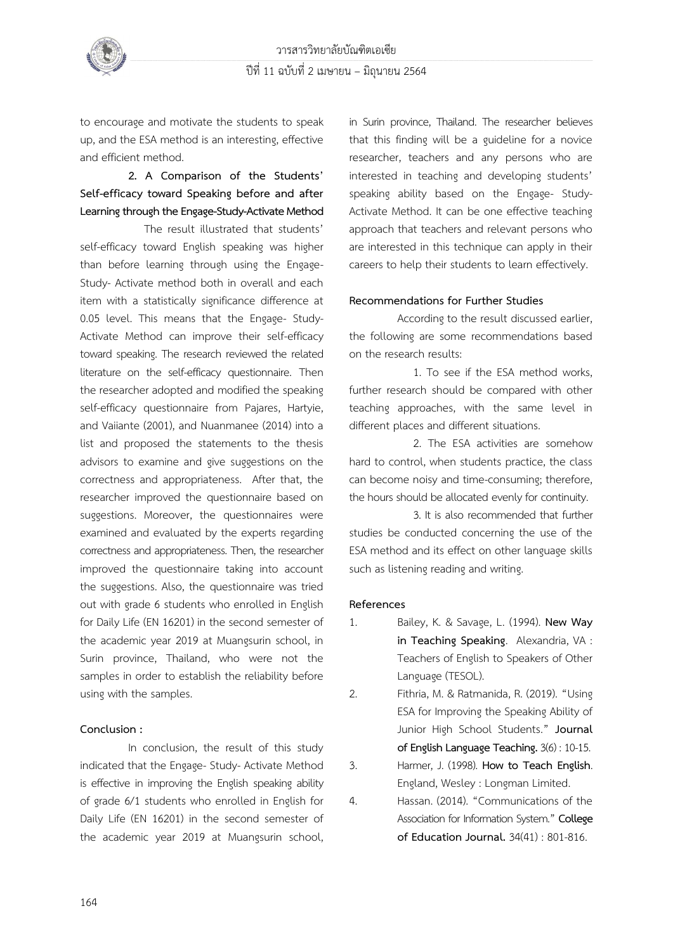

to encourage and motivate the students to speak up, and the ESA method is an interesting, effective and efficient method.

# **2. A Comparison of the Students' Self-efficacy toward Speaking before and after Learning through the Engage-Study-Activate Method**

The result illustrated that students' self-efficacy toward English speaking was higher than before learning through using the Engage-Study- Activate method both in overall and each item with a statistically significance difference at 0.05 level. This means that the Engage- Study-Activate Method can improve their self-efficacy toward speaking. The research reviewed the related literature on the self-efficacy questionnaire. Then the researcher adopted and modified the speaking self-efficacy questionnaire from Pajares, Hartyie, and Vaiiante (2001), and Nuanmanee (2014) into a list and proposed the statements to the thesis advisors to examine and give suggestions on the correctness and appropriateness. After that, the researcher improved the questionnaire based on suggestions. Moreover, the questionnaires were examined and evaluated by the experts regarding correctness and appropriateness. Then, the researcher improved the questionnaire taking into account the suggestions. Also, the questionnaire was tried out with grade 6 students who enrolled in English for Daily Life (EN 16201) in the second semester of the academic year 2019 at Muangsurin school, in Surin province, Thailand, who were not the samples in order to establish the reliability before using with the samples.

# **Conclusion :**

In conclusion, the result of this study indicated that the Engage- Study- Activate Method is effective in improving the English speaking ability of grade 6/1 students who enrolled in English for Daily Life (EN 16201) in the second semester of the academic year 2019 at Muangsurin school, in Surin province, Thailand. The researcher believes that this finding will be a guideline for a novice researcher, teachers and any persons who are interested in teaching and developing students' speaking ability based on the Engage- Study-Activate Method. It can be one effective teaching approach that teachers and relevant persons who are interested in this technique can apply in their careers to help their students to learn effectively.

### **Recommendations for Further Studies**

 According to the result discussed earlier, the following are some recommendations based on the research results:

1. To see if the ESA method works, further research should be compared with other teaching approaches, with the same level in different places and different situations.

2. The ESA activities are somehow hard to control, when students practice, the class can become noisy and time-consuming; therefore, the hours should be allocated evenly for continuity.

3. It is also recommended that further studies be conducted concerning the use of the ESA method and its effect on other language skills such as listening reading and writing.

#### **References**

- 1. Bailey, K. & Savage, L. (1994). **New Way in Teaching Speaking**. Alexandria, VA : Teachers of English to Speakers of Other Language (TESOL).
- 2. Fithria, M. & Ratmanida, R. (2019). "Using ESA for Improving the Speaking Ability of Junior High School Students." **Journal of English Language Teaching.**3(6) : 10-15.

3. Harmer, J. (1998). **How to Teach English**. England, Wesley : Longman Limited.

4. Hassan. (2014). "Communications of the Association for Information System." **College of Education Journal.** 34(41) : 801-816.